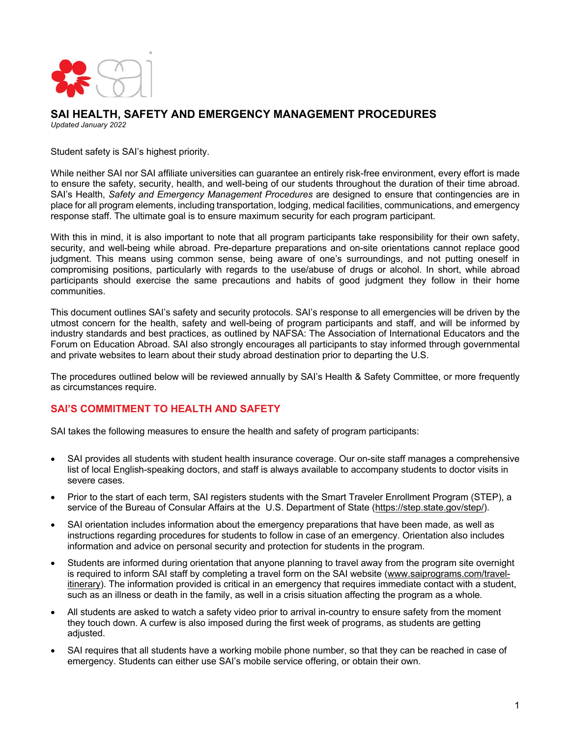

#### **SAI HEALTH, SAFETY AND EMERGENCY MANAGEMENT PROCEDURES** *Updated January 2022*

Student safety is SAI's highest priority.

While neither SAI nor SAI affiliate universities can guarantee an entirely risk-free environment, every effort is made to ensure the safety, security, health, and well-being of our students throughout the duration of their time abroad. SAI's Health, *Safety and Emergency Management Procedures* are designed to ensure that contingencies are in place for all program elements, including transportation, lodging, medical facilities, communications, and emergency response staff. The ultimate goal is to ensure maximum security for each program participant.

With this in mind, it is also important to note that all program participants take responsibility for their own safety, security, and well-being while abroad. Pre-departure preparations and on-site orientations cannot replace good judgment. This means using common sense, being aware of one's surroundings, and not putting oneself in compromising positions, particularly with regards to the use/abuse of drugs or alcohol. In short, while abroad participants should exercise the same precautions and habits of good judgment they follow in their home communities.

This document outlines SAI's safety and security protocols. SAI's response to all emergencies will be driven by the utmost concern for the health, safety and well-being of program participants and staff, and will be informed by industry standards and best practices, as outlined by NAFSA: The Association of International Educators and the Forum on Education Abroad. SAI also strongly encourages all participants to stay informed through governmental and private websites to learn about their study abroad destination prior to departing the U.S.

The procedures outlined below will be reviewed annually by SAI's Health & Safety Committee, or more frequently as circumstances require.

## **SAI'S COMMITMENT TO HEALTH AND SAFETY**

SAI takes the following measures to ensure the health and safety of program participants:

- SAI provides all students with student health insurance coverage. Our on-site staff manages a comprehensive list of local English-speaking doctors, and staff is always available to accompany students to doctor visits in severe cases.
- Prior to the start of each term, SAI registers students with the Smart Traveler Enrollment Program (STEP), a service of the Bureau of Consular Affairs at the U.S. Department of State (https://step.state.gov/step/).
- SAI orientation includes information about the emergency preparations that have been made, as well as instructions regarding procedures for students to follow in case of an emergency. Orientation also includes information and advice on personal security and protection for students in the program.
- Students are informed during orientation that anyone planning to travel away from the program site overnight is required to inform SAI staff by completing a travel form on the SAI website (www.saiprograms.com/travelitinerary). The information provided is critical in an emergency that requires immediate contact with a student, such as an illness or death in the family, as well in a crisis situation affecting the program as a whole*.*
- All students are asked to watch a safety video prior to arrival in-country to ensure safety from the moment they touch down. A curfew is also imposed during the first week of programs, as students are getting adjusted.
- SAI requires that all students have a working mobile phone number, so that they can be reached in case of emergency. Students can either use SAI's mobile service offering, or obtain their own.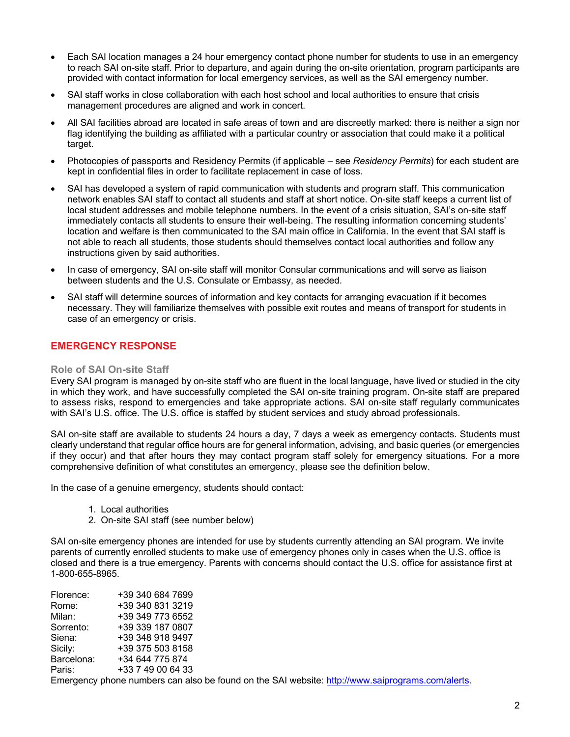- Each SAI location manages a 24 hour emergency contact phone number for students to use in an emergency to reach SAI on-site staff. Prior to departure, and again during the on-site orientation, program participants are provided with contact information for local emergency services, as well as the SAI emergency number.
- SAI staff works in close collaboration with each host school and local authorities to ensure that crisis management procedures are aligned and work in concert.
- All SAI facilities abroad are located in safe areas of town and are discreetly marked: there is neither a sign nor flag identifying the building as affiliated with a particular country or association that could make it a political target.
- Photocopies of passports and Residency Permits (if applicable see *Residency Permits*) for each student are kept in confidential files in order to facilitate replacement in case of loss.
- SAI has developed a system of rapid communication with students and program staff. This communication network enables SAI staff to contact all students and staff at short notice. On-site staff keeps a current list of local student addresses and mobile telephone numbers. In the event of a crisis situation, SAI's on-site staff immediately contacts all students to ensure their well-being. The resulting information concerning students' location and welfare is then communicated to the SAI main office in California. In the event that SAI staff is not able to reach all students, those students should themselves contact local authorities and follow any instructions given by said authorities.
- In case of emergency, SAI on-site staff will monitor Consular communications and will serve as liaison between students and the U.S. Consulate or Embassy, as needed.
- SAI staff will determine sources of information and key contacts for arranging evacuation if it becomes necessary. They will familiarize themselves with possible exit routes and means of transport for students in case of an emergency or crisis.

# **EMERGENCY RESPONSE**

#### **Role of SAI On-site Staff**

Every SAI program is managed by on-site staff who are fluent in the local language, have lived or studied in the city in which they work, and have successfully completed the SAI on-site training program. On-site staff are prepared to assess risks, respond to emergencies and take appropriate actions. SAI on-site staff regularly communicates with SAI's U.S. office. The U.S. office is staffed by student services and study abroad professionals.

SAI on-site staff are available to students 24 hours a day, 7 days a week as emergency contacts. Students must clearly understand that regular office hours are for general information, advising, and basic queries (or emergencies if they occur) and that after hours they may contact program staff solely for emergency situations. For a more comprehensive definition of what constitutes an emergency, please see the definition below.

In the case of a genuine emergency, students should contact:

- 1. Local authorities
- 2. On-site SAI staff (see number below)

SAI on-site emergency phones are intended for use by students currently attending an SAI program. We invite parents of currently enrolled students to make use of emergency phones only in cases when the U.S. office is closed and there is a true emergency. Parents with concerns should contact the U.S. office for assistance first at 1-800-655-8965.

| Florence:  | +39 340 684 7699  |
|------------|-------------------|
| Rome:      | +39 340 831 3219  |
| Milan:     | +39 349 773 6552  |
| Sorrento:  | +39 339 187 0807  |
| Siena:     | +39 348 918 9497  |
| Sicily:    | +39 375 503 8158  |
| Barcelona: | +34 644 775 874   |
| Paris:     | +33 7 49 00 64 33 |
|            |                   |

Emergency phone numbers can also be found on the SAI website: http://www.saiprograms.com/alerts.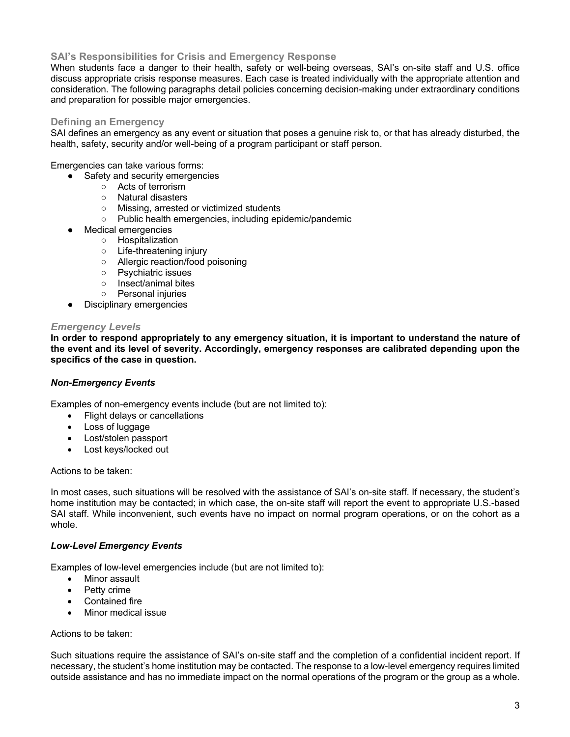# **SAI's Responsibilities for Crisis and Emergency Response**

When students face a danger to their health, safety or well-being overseas. SAI's on-site staff and U.S. office discuss appropriate crisis response measures. Each case is treated individually with the appropriate attention and consideration. The following paragraphs detail policies concerning decision-making under extraordinary conditions and preparation for possible major emergencies.

### **Defining an Emergency**

SAI defines an emergency as any event or situation that poses a genuine risk to, or that has already disturbed, the health, safety, security and/or well-being of a program participant or staff person.

Emergencies can take various forms:

- Safety and security emergencies
	- Acts of terrorism
	- Natural disasters
	- Missing, arrested or victimized students
	- Public health emergencies, including epidemic/pandemic
- Medical emergencies
	- Hospitalization
		- Life-threatening injury
		- Allergic reaction/food poisoning
		- Psychiatric issues
		- Insect/animal bites
	- Personal injuries
- Disciplinary emergencies

#### *Emergency Levels*

**In order to respond appropriately to any emergency situation, it is important to understand the nature of the event and its level of severity. Accordingly, emergency responses are calibrated depending upon the specifics of the case in question.**

#### *Non-Emergency Events*

Examples of non-emergency events include (but are not limited to):

- Flight delays or cancellations
- Loss of luggage
- Lost/stolen passport
- Lost keys/locked out

Actions to be taken:

In most cases, such situations will be resolved with the assistance of SAI's on-site staff. If necessary, the student's home institution may be contacted; in which case, the on-site staff will report the event to appropriate U.S.-based SAI staff. While inconvenient, such events have no impact on normal program operations, or on the cohort as a whole.

#### *Low-Level Emergency Events*

Examples of low-level emergencies include (but are not limited to):

- Minor assault
- Petty crime
- Contained fire
- Minor medical issue

Actions to be taken:

Such situations require the assistance of SAI's on-site staff and the completion of a confidential incident report. If necessary, the student's home institution may be contacted. The response to a low-level emergency requires limited outside assistance and has no immediate impact on the normal operations of the program or the group as a whole.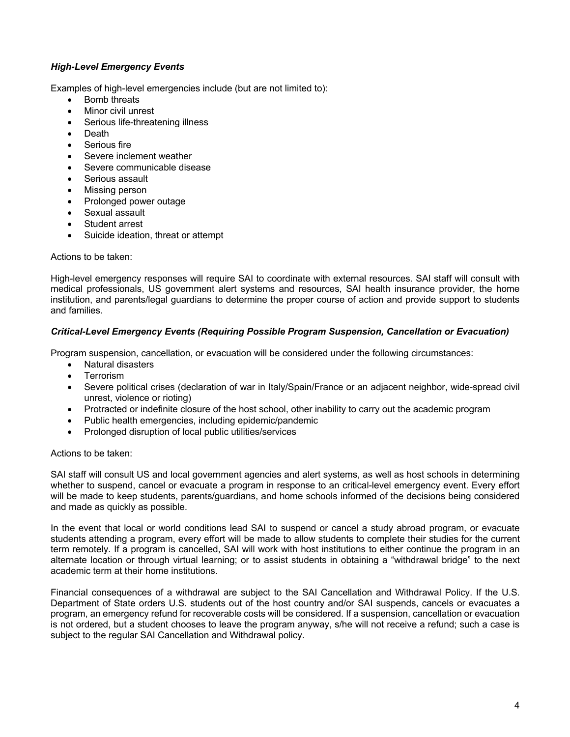# *High-Level Emergency Events*

Examples of high-level emergencies include (but are not limited to):

- Bomb threats
- Minor civil unrest
- Serious life-threatening illness
- Death
- Serious fire
- Severe inclement weather
- Severe communicable disease
- Serious assault
- Missing person
- Prolonged power outage
- Sexual assault
- Student arrest
- Suicide ideation, threat or attempt

Actions to be taken:

High-level emergency responses will require SAI to coordinate with external resources. SAI staff will consult with medical professionals, US government alert systems and resources, SAI health insurance provider, the home institution, and parents/legal guardians to determine the proper course of action and provide support to students and families.

## *Critical-Level Emergency Events (Requiring Possible Program Suspension, Cancellation or Evacuation)*

Program suspension, cancellation, or evacuation will be considered under the following circumstances:

- Natural disasters
- Terrorism
- Severe political crises (declaration of war in Italy/Spain/France or an adjacent neighbor, wide-spread civil unrest, violence or rioting)
- Protracted or indefinite closure of the host school, other inability to carry out the academic program
- Public health emergencies, including epidemic/pandemic
- Prolonged disruption of local public utilities/services

#### Actions to be taken:

SAI staff will consult US and local government agencies and alert systems, as well as host schools in determining whether to suspend, cancel or evacuate a program in response to an critical-level emergency event. Every effort will be made to keep students, parents/guardians, and home schools informed of the decisions being considered and made as quickly as possible.

In the event that local or world conditions lead SAI to suspend or cancel a study abroad program, or evacuate students attending a program, every effort will be made to allow students to complete their studies for the current term remotely. If a program is cancelled, SAI will work with host institutions to either continue the program in an alternate location or through virtual learning; or to assist students in obtaining a "withdrawal bridge" to the next academic term at their home institutions.

Financial consequences of a withdrawal are subject to the SAI Cancellation and Withdrawal Policy. If the U.S. Department of State orders U.S. students out of the host country and/or SAI suspends, cancels or evacuates a program, an emergency refund for recoverable costs will be considered. If a suspension, cancellation or evacuation is not ordered, but a student chooses to leave the program anyway, s/he will not receive a refund; such a case is subject to the regular SAI Cancellation and Withdrawal policy.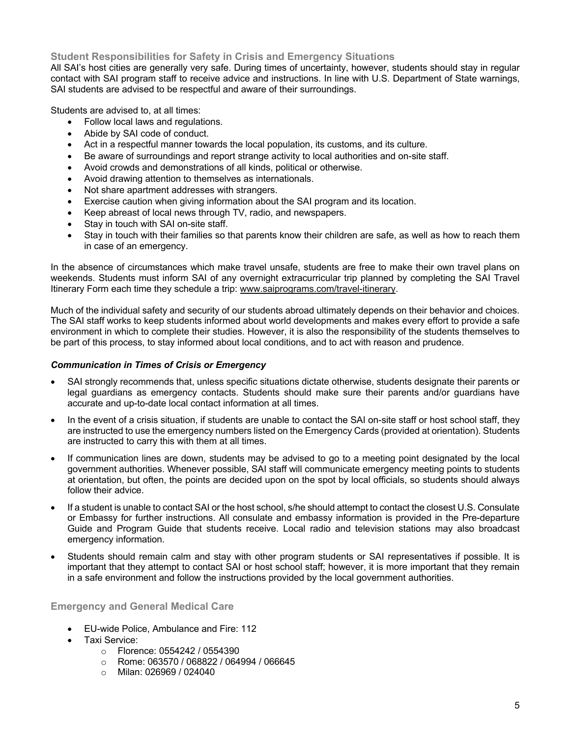# **Student Responsibilities for Safety in Crisis and Emergency Situations**

All SAI's host cities are generally very safe. During times of uncertainty, however, students should stay in regular contact with SAI program staff to receive advice and instructions. In line with U.S. Department of State warnings, SAI students are advised to be respectful and aware of their surroundings.

Students are advised to, at all times:

- Follow local laws and regulations.
- Abide by SAI code of conduct.
- Act in a respectful manner towards the local population, its customs, and its culture.
- Be aware of surroundings and report strange activity to local authorities and on-site staff.
- Avoid crowds and demonstrations of all kinds, political or otherwise.
- Avoid drawing attention to themselves as internationals.
- Not share apartment addresses with strangers.
- Exercise caution when giving information about the SAI program and its location.
- Keep abreast of local news through TV, radio, and newspapers.
- Stay in touch with SAI on-site staff.
- Stay in touch with their families so that parents know their children are safe, as well as how to reach them in case of an emergency.

In the absence of circumstances which make travel unsafe, students are free to make their own travel plans on weekends. Students must inform SAI of any overnight extracurricular trip planned by completing the SAI Travel Itinerary Form each time they schedule a trip: www.saiprograms.com/travel-itinerary.

Much of the individual safety and security of our students abroad ultimately depends on their behavior and choices. The SAI staff works to keep students informed about world developments and makes every effort to provide a safe environment in which to complete their studies. However, it is also the responsibility of the students themselves to be part of this process, to stay informed about local conditions, and to act with reason and prudence.

### *Communication in Times of Crisis or Emergency*

- SAI strongly recommends that, unless specific situations dictate otherwise, students designate their parents or legal guardians as emergency contacts. Students should make sure their parents and/or guardians have accurate and up-to-date local contact information at all times.
- In the event of a crisis situation, if students are unable to contact the SAI on-site staff or host school staff, they are instructed to use the emergency numbers listed on the Emergency Cards (provided at orientation). Students are instructed to carry this with them at all times.
- If communication lines are down, students may be advised to go to a meeting point designated by the local government authorities. Whenever possible, SAI staff will communicate emergency meeting points to students at orientation, but often, the points are decided upon on the spot by local officials, so students should always follow their advice.
- If a student is unable to contact SAI or the host school, s/he should attempt to contact the closest U.S. Consulate or Embassy for further instructions. All consulate and embassy information is provided in the Pre-departure Guide and Program Guide that students receive. Local radio and television stations may also broadcast emergency information.
- Students should remain calm and stay with other program students or SAI representatives if possible. It is important that they attempt to contact SAI or host school staff; however, it is more important that they remain in a safe environment and follow the instructions provided by the local government authorities.

## **Emergency and General Medical Care**

- EU-wide Police, Ambulance and Fire: 112
- Taxi Service:
	- o Florence: 0554242 / 0554390
	- o Rome: 063570 / 068822 / 064994 / 066645
	- o Milan: 026969 / 024040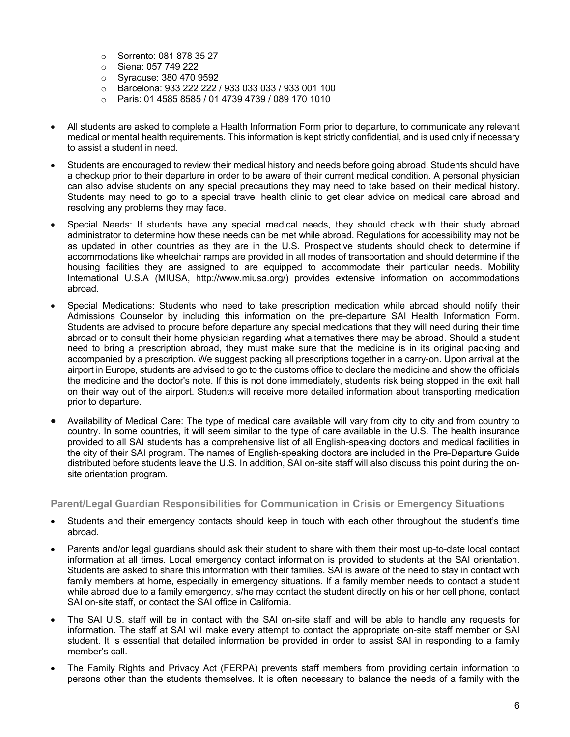- o Sorrento: 081 878 35 27
- o Siena: 057 749 222
- o Syracuse: 380 470 9592
- o Barcelona: 933 222 222 / 933 033 033 / 933 001 100
- o Paris: 01 4585 8585 / 01 4739 4739 / 089 170 1010
- All students are asked to complete a Health Information Form prior to departure, to communicate any relevant medical or mental health requirements. This information is kept strictly confidential, and is used only if necessary to assist a student in need.
- Students are encouraged to review their medical history and needs before going abroad. Students should have a checkup prior to their departure in order to be aware of their current medical condition. A personal physician can also advise students on any special precautions they may need to take based on their medical history. Students may need to go to a special travel health clinic to get clear advice on medical care abroad and resolving any problems they may face.
- Special Needs: If students have any special medical needs, they should check with their study abroad administrator to determine how these needs can be met while abroad. Regulations for accessibility may not be as updated in other countries as they are in the U.S. Prospective students should check to determine if accommodations like wheelchair ramps are provided in all modes of transportation and should determine if the housing facilities they are assigned to are equipped to accommodate their particular needs. Mobility International U.S.A (MIUSA, http://www.miusa.org/) provides extensive information on accommodations abroad.
- Special Medications: Students who need to take prescription medication while abroad should notify their Admissions Counselor by including this information on the pre-departure SAI Health Information Form. Students are advised to procure before departure any special medications that they will need during their time abroad or to consult their home physician regarding what alternatives there may be abroad. Should a student need to bring a prescription abroad, they must make sure that the medicine is in its original packing and accompanied by a prescription. We suggest packing all prescriptions together in a carry-on. Upon arrival at the airport in Europe, students are advised to go to the customs office to declare the medicine and show the officials the medicine and the doctor's note. If this is not done immediately, students risk being stopped in the exit hall on their way out of the airport. Students will receive more detailed information about transporting medication prior to departure.
- Availability of Medical Care: The type of medical care available will vary from city to city and from country to country. In some countries, it will seem similar to the type of care available in the U.S. The health insurance provided to all SAI students has a comprehensive list of all English-speaking doctors and medical facilities in the city of their SAI program. The names of English-speaking doctors are included in the Pre-Departure Guide distributed before students leave the U.S. In addition, SAI on-site staff will also discuss this point during the onsite orientation program.

**Parent/Legal Guardian Responsibilities for Communication in Crisis or Emergency Situations**

- Students and their emergency contacts should keep in touch with each other throughout the student's time abroad.
- Parents and/or legal guardians should ask their student to share with them their most up-to-date local contact information at all times. Local emergency contact information is provided to students at the SAI orientation. Students are asked to share this information with their families. SAI is aware of the need to stay in contact with family members at home, especially in emergency situations. If a family member needs to contact a student while abroad due to a family emergency, s/he may contact the student directly on his or her cell phone, contact SAI on-site staff, or contact the SAI office in California.
- The SAI U.S. staff will be in contact with the SAI on-site staff and will be able to handle any requests for information. The staff at SAI will make every attempt to contact the appropriate on-site staff member or SAI student. It is essential that detailed information be provided in order to assist SAI in responding to a family member's call.
- The Family Rights and Privacy Act (FERPA) prevents staff members from providing certain information to persons other than the students themselves. It is often necessary to balance the needs of a family with the